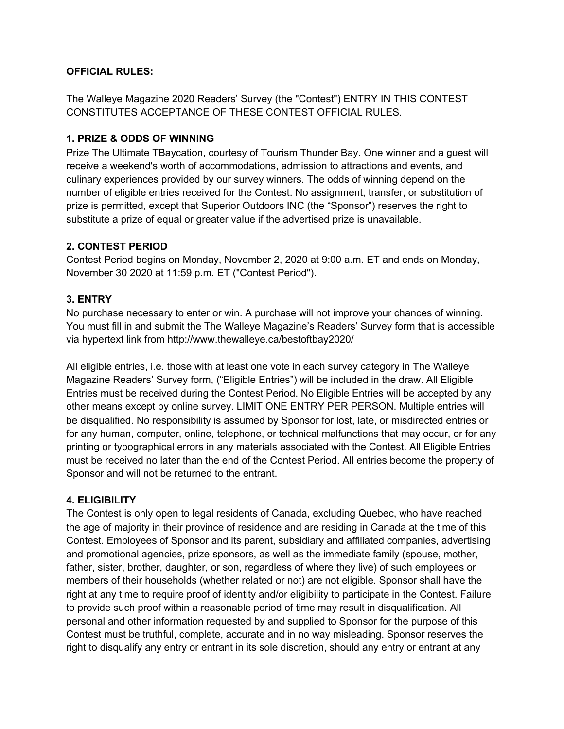#### **OFFICIAL RULES:**

The Walleye Magazine 2020 Readers' Survey (the "Contest") ENTRY IN THIS CONTEST CONSTITUTES ACCEPTANCE OF THESE CONTEST OFFICIAL RULES.

#### **1. PRIZE & ODDS OF WINNING**

Prize The Ultimate TBaycation, courtesy of Tourism Thunder Bay. One winner and a guest will receive a weekend's worth of accommodations, admission to attractions and events, and culinary experiences provided by our survey winners. The odds of winning depend on the number of eligible entries received for the Contest. No assignment, transfer, or substitution of prize is permitted, except that Superior Outdoors INC (the "Sponsor") reserves the right to substitute a prize of equal or greater value if the advertised prize is unavailable.

### **2. CONTEST PERIOD**

Contest Period begins on Monday, November 2, 2020 at 9:00 a.m. ET and ends on Monday, November 30 2020 at 11:59 p.m. ET ("Contest Period").

# **3. ENTRY**

No purchase necessary to enter or win. A purchase will not improve your chances of winning. You must fill in and submit the The Walleye Magazine's Readers' Survey form that is accessible via hypertext link from http://www.thewalleye.ca/bestoftbay2020/

All eligible entries, i.e. those with at least one vote in each survey category in The Walleye Magazine Readers' Survey form, ("Eligible Entries") will be included in the draw. All Eligible Entries must be received during the Contest Period. No Eligible Entries will be accepted by any other means except by online survey. LIMIT ONE ENTRY PER PERSON. Multiple entries will be disqualified. No responsibility is assumed by Sponsor for lost, late, or misdirected entries or for any human, computer, online, telephone, or technical malfunctions that may occur, or for any printing or typographical errors in any materials associated with the Contest. All Eligible Entries must be received no later than the end of the Contest Period. All entries become the property of Sponsor and will not be returned to the entrant.

### **4. ELIGIBILITY**

The Contest is only open to legal residents of Canada, excluding Quebec, who have reached the age of majority in their province of residence and are residing in Canada at the time of this Contest. Employees of Sponsor and its parent, subsidiary and affiliated companies, advertising and promotional agencies, prize sponsors, as well as the immediate family (spouse, mother, father, sister, brother, daughter, or son, regardless of where they live) of such employees or members of their households (whether related or not) are not eligible. Sponsor shall have the right at any time to require proof of identity and/or eligibility to participate in the Contest. Failure to provide such proof within a reasonable period of time may result in disqualification. All personal and other information requested by and supplied to Sponsor for the purpose of this Contest must be truthful, complete, accurate and in no way misleading. Sponsor reserves the right to disqualify any entry or entrant in its sole discretion, should any entry or entrant at any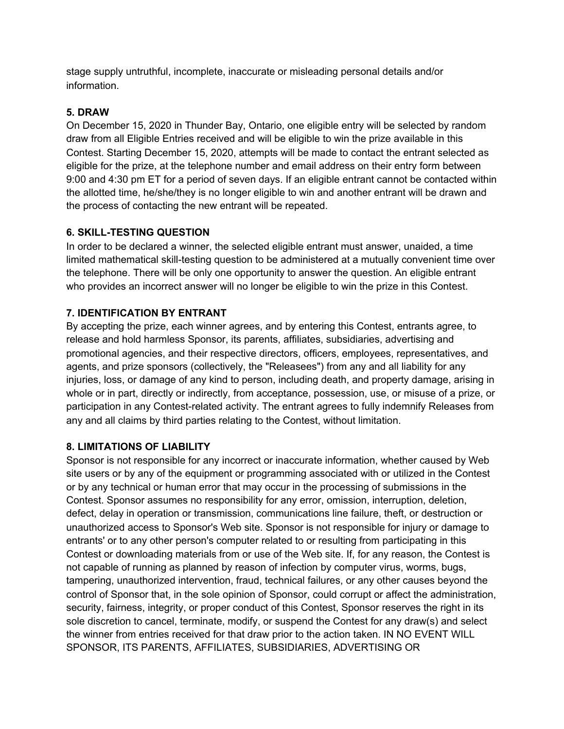stage supply untruthful, incomplete, inaccurate or misleading personal details and/or information.

# **5. DRAW**

On December 15, 2020 in Thunder Bay, Ontario, one eligible entry will be selected by random draw from all Eligible Entries received and will be eligible to win the prize available in this Contest. Starting December 15, 2020, attempts will be made to contact the entrant selected as eligible for the prize, at the telephone number and email address on their entry form between 9:00 and 4:30 pm ET for a period of seven days. If an eligible entrant cannot be contacted within the allotted time, he/she/they is no longer eligible to win and another entrant will be drawn and the process of contacting the new entrant will be repeated.

# **6. SKILL-TESTING QUESTION**

In order to be declared a winner, the selected eligible entrant must answer, unaided, a time limited mathematical skill-testing question to be administered at a mutually convenient time over the telephone. There will be only one opportunity to answer the question. An eligible entrant who provides an incorrect answer will no longer be eligible to win the prize in this Contest.

# **7. IDENTIFICATION BY ENTRANT**

By accepting the prize, each winner agrees, and by entering this Contest, entrants agree, to release and hold harmless Sponsor, its parents, affiliates, subsidiaries, advertising and promotional agencies, and their respective directors, officers, employees, representatives, and agents, and prize sponsors (collectively, the "Releasees") from any and all liability for any injuries, loss, or damage of any kind to person, including death, and property damage, arising in whole or in part, directly or indirectly, from acceptance, possession, use, or misuse of a prize, or participation in any Contest-related activity. The entrant agrees to fully indemnify Releases from any and all claims by third parties relating to the Contest, without limitation.

### **8. LIMITATIONS OF LIABILITY**

Sponsor is not responsible for any incorrect or inaccurate information, whether caused by Web site users or by any of the equipment or programming associated with or utilized in the Contest or by any technical or human error that may occur in the processing of submissions in the Contest. Sponsor assumes no responsibility for any error, omission, interruption, deletion, defect, delay in operation or transmission, communications line failure, theft, or destruction or unauthorized access to Sponsor's Web site. Sponsor is not responsible for injury or damage to entrants' or to any other person's computer related to or resulting from participating in this Contest or downloading materials from or use of the Web site. If, for any reason, the Contest is not capable of running as planned by reason of infection by computer virus, worms, bugs, tampering, unauthorized intervention, fraud, technical failures, or any other causes beyond the control of Sponsor that, in the sole opinion of Sponsor, could corrupt or affect the administration, security, fairness, integrity, or proper conduct of this Contest, Sponsor reserves the right in its sole discretion to cancel, terminate, modify, or suspend the Contest for any draw(s) and select the winner from entries received for that draw prior to the action taken. IN NO EVENT WILL SPONSOR, ITS PARENTS, AFFILIATES, SUBSIDIARIES, ADVERTISING OR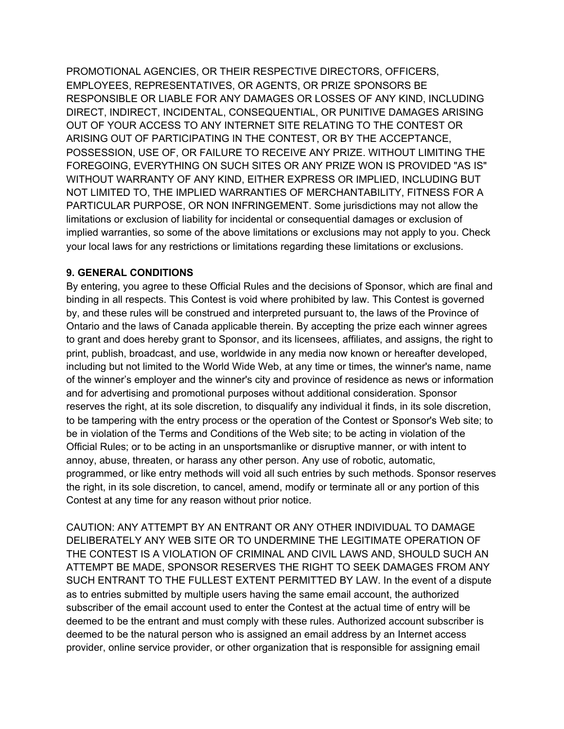PROMOTIONAL AGENCIES, OR THEIR RESPECTIVE DIRECTORS, OFFICERS, EMPLOYEES, REPRESENTATIVES, OR AGENTS, OR PRIZE SPONSORS BE RESPONSIBLE OR LIABLE FOR ANY DAMAGES OR LOSSES OF ANY KIND, INCLUDING DIRECT, INDIRECT, INCIDENTAL, CONSEQUENTIAL, OR PUNITIVE DAMAGES ARISING OUT OF YOUR ACCESS TO ANY INTERNET SITE RELATING TO THE CONTEST OR ARISING OUT OF PARTICIPATING IN THE CONTEST, OR BY THE ACCEPTANCE, POSSESSION, USE OF, OR FAILURE TO RECEIVE ANY PRIZE. WITHOUT LIMITING THE FOREGOING, EVERYTHING ON SUCH SITES OR ANY PRIZE WON IS PROVIDED "AS IS" WITHOUT WARRANTY OF ANY KIND, EITHER EXPRESS OR IMPLIED, INCLUDING BUT NOT LIMITED TO, THE IMPLIED WARRANTIES OF MERCHANTABILITY, FITNESS FOR A PARTICULAR PURPOSE, OR NON INFRINGEMENT. Some jurisdictions may not allow the limitations or exclusion of liability for incidental or consequential damages or exclusion of implied warranties, so some of the above limitations or exclusions may not apply to you. Check your local laws for any restrictions or limitations regarding these limitations or exclusions.

### **9. GENERAL CONDITIONS**

By entering, you agree to these Official Rules and the decisions of Sponsor, which are final and binding in all respects. This Contest is void where prohibited by law. This Contest is governed by, and these rules will be construed and interpreted pursuant to, the laws of the Province of Ontario and the laws of Canada applicable therein. By accepting the prize each winner agrees to grant and does hereby grant to Sponsor, and its licensees, affiliates, and assigns, the right to print, publish, broadcast, and use, worldwide in any media now known or hereafter developed, including but not limited to the World Wide Web, at any time or times, the winner's name, name of the winner's employer and the winner's city and province of residence as news or information and for advertising and promotional purposes without additional consideration. Sponsor reserves the right, at its sole discretion, to disqualify any individual it finds, in its sole discretion, to be tampering with the entry process or the operation of the Contest or Sponsor's Web site; to be in violation of the Terms and Conditions of the Web site; to be acting in violation of the Official Rules; or to be acting in an unsportsmanlike or disruptive manner, or with intent to annoy, abuse, threaten, or harass any other person. Any use of robotic, automatic, programmed, or like entry methods will void all such entries by such methods. Sponsor reserves the right, in its sole discretion, to cancel, amend, modify or terminate all or any portion of this Contest at any time for any reason without prior notice.

CAUTION: ANY ATTEMPT BY AN ENTRANT OR ANY OTHER INDIVIDUAL TO DAMAGE DELIBERATELY ANY WEB SITE OR TO UNDERMINE THE LEGITIMATE OPERATION OF THE CONTEST IS A VIOLATION OF CRIMINAL AND CIVIL LAWS AND, SHOULD SUCH AN ATTEMPT BE MADE, SPONSOR RESERVES THE RIGHT TO SEEK DAMAGES FROM ANY SUCH ENTRANT TO THE FULLEST EXTENT PERMITTED BY LAW. In the event of a dispute as to entries submitted by multiple users having the same email account, the authorized subscriber of the email account used to enter the Contest at the actual time of entry will be deemed to be the entrant and must comply with these rules. Authorized account subscriber is deemed to be the natural person who is assigned an email address by an Internet access provider, online service provider, or other organization that is responsible for assigning email